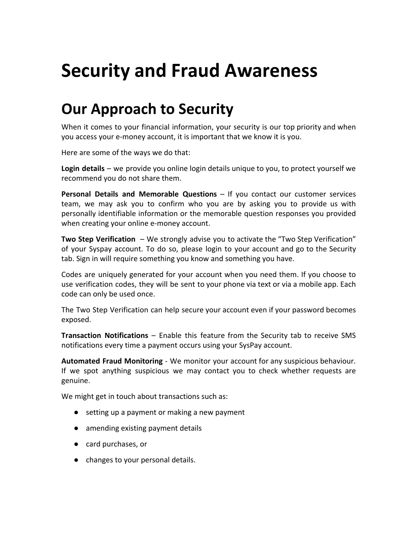# **Security and Fraud Awareness**

## **Our Approach to Security**

When it comes to your financial information, your security is our top priority and when you access your e-money account, it is important that we know it is you.

Here are some of the ways we do that:

**Login details** – we provide you online login details unique to you, to protect yourself we recommend you do not share them.

**Personal Details and Memorable Questions** – If you contact our customer services team, we may ask you to confirm who you are by asking you to provide us with personally identifiable information or the memorable question responses you provided when creating your online e-money account.

**Two Step Verification** – We strongly advise you to activate the "Two Step Verification" of your Syspay account. To do so, please login to your account and go to the Security tab. Sign in will require something you know and something you have.

Codes are uniquely generated for your account when you need them. If you choose to use verification codes, they will be sent to your phone via text or via a mobile app. Each code can only be used once.

The Two Step Verification can help secure your account even if your password becomes exposed.

**Transaction Notifications** – Enable this feature from the Security tab to receive SMS notifications every time a payment occurs using your SysPay account.

**Automated Fraud Monitoring** - We monitor your account for any suspicious behaviour. If we spot anything suspicious we may contact you to check whether requests are genuine.

We might get in touch about transactions such as:

- setting up a payment or making a new payment
- amending existing payment details
- card purchases, or
- changes to your personal details.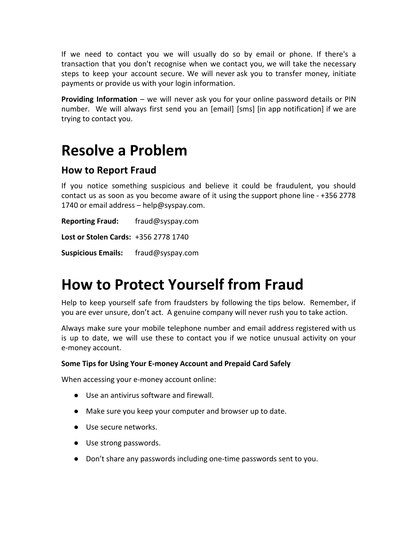If we need to contact you we will usually do so by email or phone. If there's a transaction that you don't recognise when we contact you, we will take the necessary steps to keep your account secure. We will never ask you to transfer money, initiate payments or provide us with your login information.

**Providing Information** – we will never ask you for your online password details or PIN number. We will always first send you an [email] [sms] [in app notification] if we are trying to contact you.

### **Resolve a Problem**

#### **How to Report Fraud**

If you notice something suspicious and believe it could be fraudulent, you should contact us as soon as you become aware of it using the support phone line - +356 2778 1740 or email address – help@syspay.com.

**Reporting Fraud:** fraud@syspay.com **Lost or Stolen Cards:** +356 2778 1740 **Suspicious Emails:** fraud@syspay.com

## **How to Protect Yourself from Fraud**

Help to keep yourself safe from fraudsters by following the tips below. Remember, if you are ever unsure, don't act. A genuine company will never rush you to take action.

Always make sure your mobile telephone number and email address registered with us is up to date, we will use these to contact you if we notice unusual activity on your e-money account.

#### **Some Tips for Using Your E-money Account and Prepaid Card Safely**

When accessing your e-money account online:

- Use an antivirus software and firewall.
- Make sure you keep your computer and browser up to date.
- Use secure networks.
- Use strong passwords.
- Don't share any passwords including one-time passwords sent to you.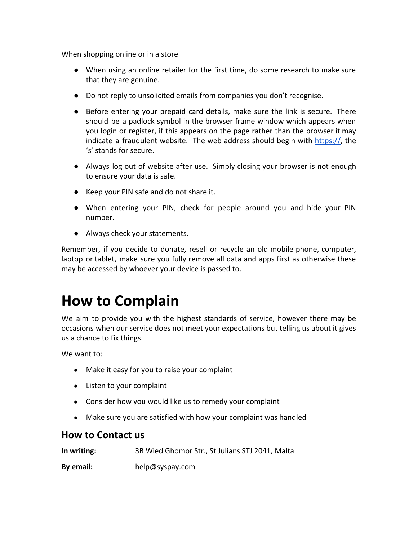When shopping online or in a store

- When using an online retailer for the first time, do some research to make sure that they are genuine.
- Do not reply to unsolicited emails from companies you don't recognise.
- Before entering your prepaid card details, make sure the link is secure. There should be a padlock symbol in the browser frame window which appears when you login or register, if this appears on the page rather than the browser it may indicate a fraudulent website. The web address should begin with https://, the 's' stands for secure.
- Always log out of website after use. Simply closing your browser is not enough to ensure your data is safe.
- Keep your PIN safe and do not share it.
- When entering your PIN, check for people around you and hide your PIN number.
- Always check your statements.

Remember, if you decide to donate, resell or recycle an old mobile phone, computer, laptop or tablet, make sure you fully remove all data and apps first as otherwise these may be accessed by whoever your device is passed to.

### **How to Complain**

We aim to provide you with the highest standards of service, however there may be occasions when our service does not meet your expectations but telling us about it gives us a chance to fix things.

We want to:

- Make it easy for you to raise your complaint
- Listen to your complaint
- Consider how you would like us to remedy your complaint
- Make sure you are satisfied with how your complaint was handled

#### **How to Contact us**

| In writing: | 3B Wied Ghomor Str., St Julians STJ 2041, Malta |
|-------------|-------------------------------------------------|
| By email:   | help@syspay.com                                 |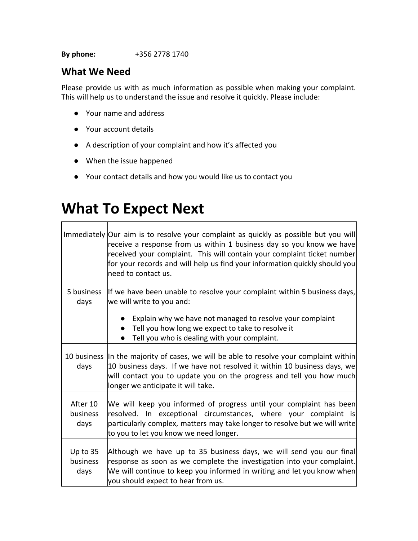**By phone:** +356 2778 1740

#### **What We Need**

Please provide us with as much information as possible when making your complaint. This will help us to understand the issue and resolve it quickly. Please include:

- Your name and address
- Your account details
- A description of your complaint and how it's affected you
- When the issue happened
- Your contact details and how you would like us to contact you

### **What To Expect Next**

|                              | Immediately Our aim is to resolve your complaint as quickly as possible but you will<br>receive a response from us within 1 business day so you know we have<br>received your complaint. This will contain your complaint ticket number<br>for your records and will help us find your information quickly should you<br>need to contact us. |
|------------------------------|----------------------------------------------------------------------------------------------------------------------------------------------------------------------------------------------------------------------------------------------------------------------------------------------------------------------------------------------|
| 5 business<br>days           | If we have been unable to resolve your complaint within 5 business days,<br>we will write to you and:                                                                                                                                                                                                                                        |
|                              | Explain why we have not managed to resolve your complaint<br>Tell you how long we expect to take to resolve it<br>Tell you who is dealing with your complaint.                                                                                                                                                                               |
| days                         | 10 business In the majority of cases, we will be able to resolve your complaint within<br>10 business days. If we have not resolved it within 10 business days, we<br>will contact you to update you on the progress and tell you how much<br>longer we anticipate it will take.                                                             |
| After 10<br>business<br>days | We will keep you informed of progress until your complaint has been<br>resolved. In exceptional circumstances, where your complaint is<br>particularly complex, matters may take longer to resolve but we will write<br>to you to let you know we need longer.                                                                               |
| Up to 35<br>business<br>days | Although we have up to 35 business days, we will send you our final<br>response as soon as we complete the investigation into your complaint.<br>We will continue to keep you informed in writing and let you know when<br>you should expect to hear from us.                                                                                |